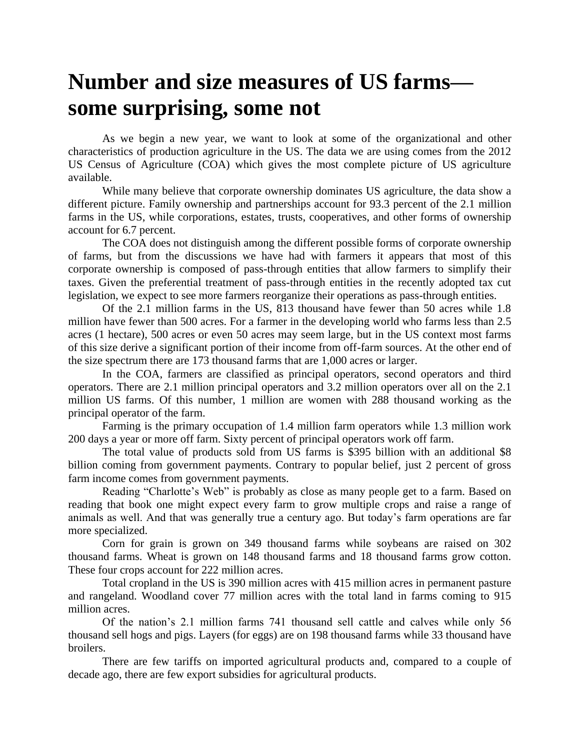## **Number and size measures of US farms some surprising, some not**

As we begin a new year, we want to look at some of the organizational and other characteristics of production agriculture in the US. The data we are using comes from the 2012 US Census of Agriculture (COA) which gives the most complete picture of US agriculture available.

While many believe that corporate ownership dominates US agriculture, the data show a different picture. Family ownership and partnerships account for 93.3 percent of the 2.1 million farms in the US, while corporations, estates, trusts, cooperatives, and other forms of ownership account for 6.7 percent.

The COA does not distinguish among the different possible forms of corporate ownership of farms, but from the discussions we have had with farmers it appears that most of this corporate ownership is composed of pass-through entities that allow farmers to simplify their taxes. Given the preferential treatment of pass-through entities in the recently adopted tax cut legislation, we expect to see more farmers reorganize their operations as pass-through entities.

Of the 2.1 million farms in the US, 813 thousand have fewer than 50 acres while 1.8 million have fewer than 500 acres. For a farmer in the developing world who farms less than 2.5 acres (1 hectare), 500 acres or even 50 acres may seem large, but in the US context most farms of this size derive a significant portion of their income from off-farm sources. At the other end of the size spectrum there are 173 thousand farms that are 1,000 acres or larger.

In the COA, farmers are classified as principal operators, second operators and third operators. There are 2.1 million principal operators and 3.2 million operators over all on the 2.1 million US farms. Of this number, 1 million are women with 288 thousand working as the principal operator of the farm.

Farming is the primary occupation of 1.4 million farm operators while 1.3 million work 200 days a year or more off farm. Sixty percent of principal operators work off farm.

The total value of products sold from US farms is \$395 billion with an additional \$8 billion coming from government payments. Contrary to popular belief, just 2 percent of gross farm income comes from government payments.

Reading "Charlotte's Web" is probably as close as many people get to a farm. Based on reading that book one might expect every farm to grow multiple crops and raise a range of animals as well. And that was generally true a century ago. But today's farm operations are far more specialized.

Corn for grain is grown on 349 thousand farms while soybeans are raised on 302 thousand farms. Wheat is grown on 148 thousand farms and 18 thousand farms grow cotton. These four crops account for 222 million acres.

Total cropland in the US is 390 million acres with 415 million acres in permanent pasture and rangeland. Woodland cover 77 million acres with the total land in farms coming to 915 million acres.

Of the nation's 2.1 million farms 741 thousand sell cattle and calves while only 56 thousand sell hogs and pigs. Layers (for eggs) are on 198 thousand farms while 33 thousand have broilers.

There are few tariffs on imported agricultural products and, compared to a couple of decade ago, there are few export subsidies for agricultural products.